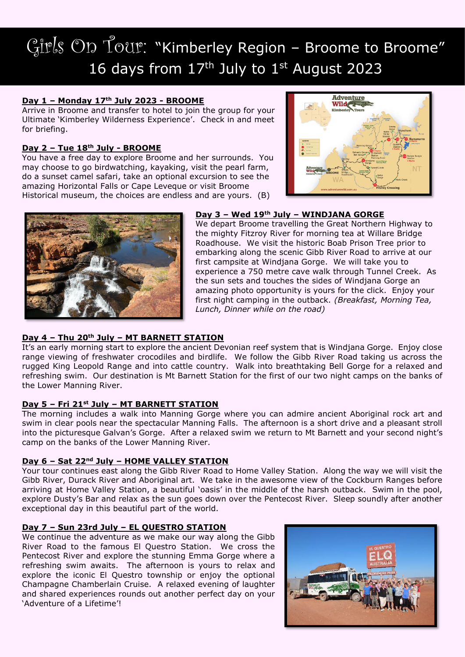# Girls On Tour: "Kimberley Region - Broome to Broome" 16 days from  $17<sup>th</sup>$  July to  $1<sup>st</sup>$  August 2023

## **Day 1 – Monday 17th July 2023 - BROOME**

Arrive in Broome and transfer to hotel to join the group for your Ultimate 'Kimberley Wilderness Experience'. Check in and meet for briefing.

# **Day 2 – Tue 18th July - BROOME**

You have a free day to explore Broome and her surrounds. You may choose to go birdwatching, kayaking, visit the pearl farm, do a sunset camel safari, take an optional excursion to see the amazing Horizontal Falls or Cape Leveque or visit Broome Historical museum, the choices are endless and are yours. (B)





### **Day 3 – Wed 19th July – WINDJANA GORGE**

We depart Broome travelling the Great Northern Highway to the mighty Fitzroy River for morning tea at Willare Bridge Roadhouse. We visit the historic Boab Prison Tree prior to embarking along the scenic Gibb River Road to arrive at our first campsite at Windjana Gorge. We will take you to experience a 750 metre cave walk through Tunnel Creek. As the sun sets and touches the sides of Windjana Gorge an amazing photo opportunity is yours for the click. Enjoy your first night camping in the outback. *(Breakfast, Morning Tea, Lunch, Dinner while on the road)*

# **Day 4 – Thu 20th July – MT BARNETT STATION**

It's an early morning start to explore the ancient Devonian reef system that is Windjana Gorge. Enjoy close range viewing of freshwater crocodiles and birdlife. We follow the Gibb River Road taking us across the rugged King Leopold Range and into cattle country. Walk into breathtaking Bell Gorge for a relaxed and refreshing swim. Our destination is Mt Barnett Station for the first of our two night camps on the banks of the Lower Manning River.

### **Day 5 – Fri 21st July – MT BARNETT STATION**

The morning includes a walk into Manning Gorge where you can admire ancient Aboriginal rock art and swim in clear pools near the spectacular Manning Falls. The afternoon is a short drive and a pleasant stroll into the picturesque Galvan's Gorge. After a relaxed swim we return to Mt Barnett and your second night's camp on the banks of the Lower Manning River.

### **Day 6 – Sat 22nd July – HOME VALLEY STATION**

Your tour continues east along the Gibb River Road to Home Valley Station. Along the way we will visit the Gibb River, Durack River and Aboriginal art. We take in the awesome view of the Cockburn Ranges before arriving at Home Valley Station, a beautiful 'oasis' in the middle of the harsh outback. Swim in the pool, explore Dusty's Bar and relax as the sun goes down over the Pentecost River. Sleep soundly after another exceptional day in this beautiful part of the world.

### **Day 7 – Sun 23rd July – EL QUESTRO STATION**

We continue the adventure as we make our way along the Gibb River Road to the famous El Questro Station. We cross the Pentecost River and explore the stunning Emma Gorge where a refreshing swim awaits. The afternoon is yours to relax and explore the iconic El Questro township or enjoy the optional Champagne Chamberlain Cruise. A relaxed evening of laughter and shared experiences rounds out another perfect day on your 'Adventure of a Lifetime'!